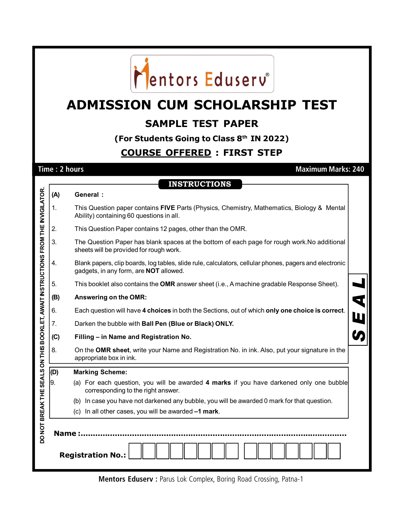

# **ADMISSION CUM SCHOLARSHIP TEST**

## **SAMPLE TEST PAPER**

**(For Students Going to Class 8th IN 2022)**

### **COURSE OFFERED : FIRST STEP**

**Time : 2 hours Maximum Marks: 240**

**INSTRUCTIONS**

|                                                                                  | (A) | <b>General:</b>                                                                                                                                         |  |  |  |  |  |  |
|----------------------------------------------------------------------------------|-----|---------------------------------------------------------------------------------------------------------------------------------------------------------|--|--|--|--|--|--|
|                                                                                  | 1.  | This Question paper contains FIVE Parts (Physics, Chemistry, Mathematics, Biology & Mental<br>Ability) containing 60 questions in all.                  |  |  |  |  |  |  |
|                                                                                  | 2.  | This Question Paper contains 12 pages, other than the OMR.                                                                                              |  |  |  |  |  |  |
|                                                                                  | 3.  | The Question Paper has blank spaces at the bottom of each page for rough work. No additional<br>sheets will be provided for rough work.                 |  |  |  |  |  |  |
|                                                                                  | 4.  | Blank papers, clip boards, log tables, slide rule, calculators, cellular phones, pagers and electronic<br>gadgets, in any form, are <b>NOT</b> allowed. |  |  |  |  |  |  |
|                                                                                  | 5.  | This booklet also contains the OMR answer sheet (i.e., A machine gradable Response Sheet).                                                              |  |  |  |  |  |  |
|                                                                                  | (B) | Answering on the OMR:                                                                                                                                   |  |  |  |  |  |  |
|                                                                                  | 6.  | Each question will have 4 choices in both the Sections, out of which only one choice is correct.                                                        |  |  |  |  |  |  |
|                                                                                  | 7.  | Darken the bubble with Ball Pen (Blue or Black) ONLY.                                                                                                   |  |  |  |  |  |  |
|                                                                                  | (C) | Filling - in Name and Registration No.                                                                                                                  |  |  |  |  |  |  |
|                                                                                  | 8.  | On the OMR sheet, write your Name and Registration No. in ink. Also, put your signature in the<br>appropriate box in ink.                               |  |  |  |  |  |  |
|                                                                                  | (D) | <b>Marking Scheme:</b>                                                                                                                                  |  |  |  |  |  |  |
|                                                                                  | 9.  | (a) For each question, you will be awarded 4 marks if you have darkened only one bubble<br>corresponding to the right answer.                           |  |  |  |  |  |  |
|                                                                                  |     | (b) In case you have not darkened any bubble, you will be awarded 0 mark for that question.                                                             |  |  |  |  |  |  |
|                                                                                  |     | (c) In all other cases, you will be awarded -1 mark.                                                                                                    |  |  |  |  |  |  |
| DO NOT BREAK THE SEALS ON THIS BOOKLET, AWAIT INSTRUCTIONS FROM THE INVIGILATOR. |     | <b>Name:.</b>                                                                                                                                           |  |  |  |  |  |  |
|                                                                                  |     | <b>Registration No.:</b>                                                                                                                                |  |  |  |  |  |  |

**Mentors Eduserv : Parus Lok Complex, Boring Road Crossing, Patna-1**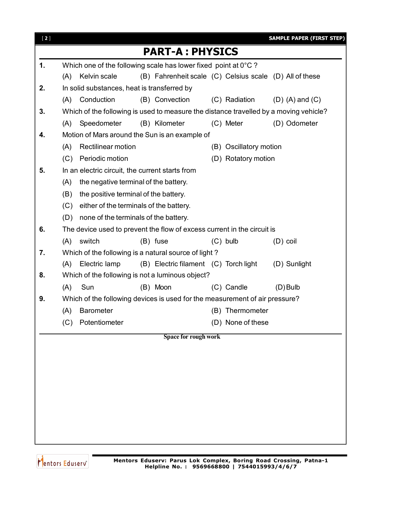| $[2]$ |                                                                                       | <b>SAMPLE PAPER (FIRST STEP)</b>                        |  |  |  |  |  |
|-------|---------------------------------------------------------------------------------------|---------------------------------------------------------|--|--|--|--|--|
|       | <b>PART-A: PHYSICS</b>                                                                |                                                         |  |  |  |  |  |
| 1.    | Which one of the following scale has lower fixed point at 0°C?                        |                                                         |  |  |  |  |  |
|       | Kelvin scale<br>(A)                                                                   | (B) Fahrenheit scale (C) Celsius scale (D) All of these |  |  |  |  |  |
| 2.    | In solid substances, heat is transferred by                                           |                                                         |  |  |  |  |  |
|       | Conduction<br>(B) Convection<br>(A)                                                   | (C) Radiation<br>$(D)$ (A) and $(C)$                    |  |  |  |  |  |
| 3.    | Which of the following is used to measure the distance travelled by a moving vehicle? |                                                         |  |  |  |  |  |
|       | Speedometer<br>(B) Kilometer<br>(A)                                                   | (C) Meter<br>(D) Odometer                               |  |  |  |  |  |
| 4.    | Motion of Mars around the Sun is an example of                                        |                                                         |  |  |  |  |  |
|       | (A)<br><b>Rectilinear motion</b>                                                      | (B) Oscillatory motion                                  |  |  |  |  |  |
|       | Periodic motion<br>(C)                                                                | (D) Rotatory motion                                     |  |  |  |  |  |
| 5.    | In an electric circuit, the current starts from                                       |                                                         |  |  |  |  |  |
|       | (A)<br>the negative terminal of the battery.                                          |                                                         |  |  |  |  |  |
|       | the positive terminal of the battery.<br>(B)                                          |                                                         |  |  |  |  |  |
|       | either of the terminals of the battery.<br>(C)                                        |                                                         |  |  |  |  |  |
|       | none of the terminals of the battery.<br>(D)                                          |                                                         |  |  |  |  |  |
| 6.    | The device used to prevent the flow of excess current in the circuit is               |                                                         |  |  |  |  |  |
|       | switch<br>(B) fuse<br>(A)                                                             | $(C)$ bulb<br>$(D)$ coil                                |  |  |  |  |  |
| 7.    | Which of the following is a natural source of light?                                  |                                                         |  |  |  |  |  |
|       | (B) Electric filament (C) Torch light<br>(D) Sunlight<br>Electric lamp<br>(A)         |                                                         |  |  |  |  |  |
| 8.    | Which of the following is not a luminous object?                                      |                                                         |  |  |  |  |  |
|       | (A)<br>Sun<br>(B) Moon                                                                | (C) Candle<br>$(D)$ Bulb                                |  |  |  |  |  |
| 9.    | Which of the following devices is used for the measurement of air pressure?           |                                                         |  |  |  |  |  |
|       | <b>Barometer</b><br>(A)                                                               | (B) Thermometer                                         |  |  |  |  |  |
|       | (C) Potentiometer                                                                     | (D) None of these                                       |  |  |  |  |  |
|       | Space for rough work                                                                  |                                                         |  |  |  |  |  |
|       |                                                                                       |                                                         |  |  |  |  |  |
|       |                                                                                       |                                                         |  |  |  |  |  |
|       |                                                                                       |                                                         |  |  |  |  |  |
|       |                                                                                       |                                                         |  |  |  |  |  |
|       |                                                                                       |                                                         |  |  |  |  |  |
|       |                                                                                       |                                                         |  |  |  |  |  |
|       |                                                                                       |                                                         |  |  |  |  |  |
|       |                                                                                       |                                                         |  |  |  |  |  |
|       |                                                                                       |                                                         |  |  |  |  |  |

Mentors Eduserv<sup>o</sup>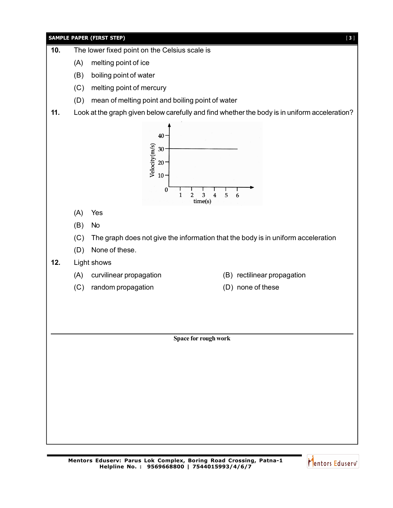

Mentors Eduserv<sup>®</sup>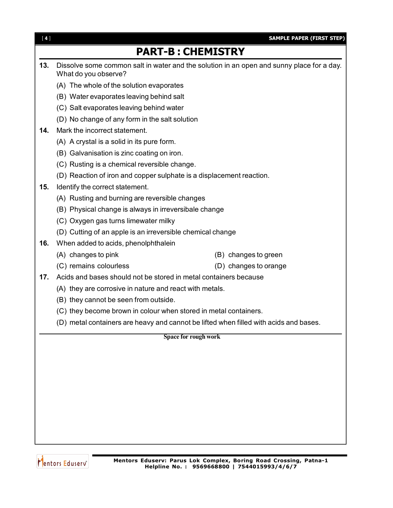| [4]                                            | <b>SAMPLE PAPER (FIRST STEP)</b>                                                                                  |  |  |  |
|------------------------------------------------|-------------------------------------------------------------------------------------------------------------------|--|--|--|
|                                                | <b>PART-B: CHEMISTRY</b>                                                                                          |  |  |  |
| 13.                                            | Dissolve some common salt in water and the solution in an open and sunny place for a day.<br>What do you observe? |  |  |  |
|                                                | (A) The whole of the solution evaporates                                                                          |  |  |  |
|                                                | (B) Water evaporates leaving behind salt                                                                          |  |  |  |
|                                                | (C) Salt evaporates leaving behind water                                                                          |  |  |  |
|                                                | (D) No change of any form in the salt solution                                                                    |  |  |  |
| 14.                                            | Mark the incorrect statement.                                                                                     |  |  |  |
| (A) A crystal is a solid in its pure form.     |                                                                                                                   |  |  |  |
|                                                | (B) Galvanisation is zinc coating on iron.                                                                        |  |  |  |
|                                                | (C) Rusting is a chemical reversible change.                                                                      |  |  |  |
|                                                | (D) Reaction of iron and copper sulphate is a displacement reaction.                                              |  |  |  |
| 15.                                            | Identify the correct statement.                                                                                   |  |  |  |
| (A) Rusting and burning are reversible changes |                                                                                                                   |  |  |  |
|                                                | (B) Physical change is always in irreversibale change                                                             |  |  |  |
|                                                | (C) Oxygen gas turns limewater milky                                                                              |  |  |  |
|                                                | (D) Cutting of an apple is an irreversible chemical change                                                        |  |  |  |
| 16.                                            | When added to acids, phenolphthalein                                                                              |  |  |  |
|                                                | (A) changes to pink<br>(B) changes to green                                                                       |  |  |  |
|                                                | (C) remains colourless<br>(D) changes to orange                                                                   |  |  |  |
| 17.                                            | Acids and bases should not be stored in metal containers because                                                  |  |  |  |
|                                                | (A) they are corrosive in nature and react with metals.                                                           |  |  |  |
|                                                | (B) they cannot be seen from outside.                                                                             |  |  |  |
|                                                | (C) they become brown in colour when stored in metal containers.                                                  |  |  |  |
|                                                | (D) metal containers are heavy and cannot be lifted when filled with acids and bases                              |  |  |  |
|                                                | Space for rough work                                                                                              |  |  |  |
|                                                |                                                                                                                   |  |  |  |
|                                                |                                                                                                                   |  |  |  |
|                                                |                                                                                                                   |  |  |  |
|                                                |                                                                                                                   |  |  |  |
|                                                |                                                                                                                   |  |  |  |
|                                                |                                                                                                                   |  |  |  |
|                                                |                                                                                                                   |  |  |  |
|                                                |                                                                                                                   |  |  |  |

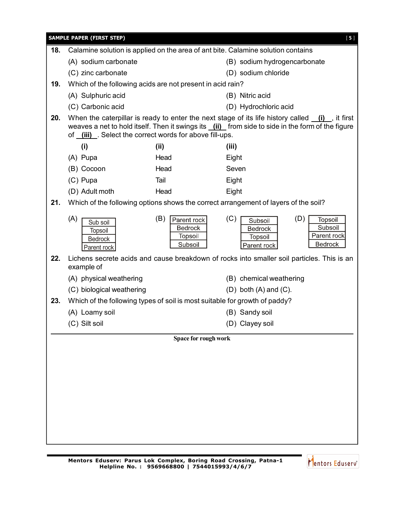| <b>SAMPLE PAPER (FIRST STEP)</b><br>$[5]$ |                                                                            |                                                            |                                                                                                                                                                                                        |  |  |  |
|-------------------------------------------|----------------------------------------------------------------------------|------------------------------------------------------------|--------------------------------------------------------------------------------------------------------------------------------------------------------------------------------------------------------|--|--|--|
| 18.                                       |                                                                            |                                                            | Calamine solution is applied on the area of ant bite. Calamine solution contains                                                                                                                       |  |  |  |
|                                           | (A) sodium carbonate                                                       |                                                            | (B) sodium hydrogencarbonate                                                                                                                                                                           |  |  |  |
|                                           | (C) zinc carbonate                                                         |                                                            | (D) sodium chloride                                                                                                                                                                                    |  |  |  |
| 19.                                       | Which of the following acids are not present in acid rain?                 |                                                            |                                                                                                                                                                                                        |  |  |  |
|                                           | (A) Sulphuric acid                                                         |                                                            | (B) Nitric acid                                                                                                                                                                                        |  |  |  |
|                                           | (C) Carbonic acid                                                          |                                                            | (D) Hydrochloric acid                                                                                                                                                                                  |  |  |  |
| 20.                                       | of (iii) Select the correct words for above fill-ups.                      |                                                            | When the caterpillar is ready to enter the next stage of its life history called $(i)$ , it first<br>weaves a net to hold itself. Then it swings its $(i)$ from side to side in the form of the figure |  |  |  |
|                                           | (i)                                                                        | (ii)                                                       | (iii)                                                                                                                                                                                                  |  |  |  |
|                                           | (A) Pupa                                                                   | Head                                                       | Eight                                                                                                                                                                                                  |  |  |  |
|                                           | (B) Cocoon                                                                 | Head                                                       | Seven                                                                                                                                                                                                  |  |  |  |
|                                           | (C) Pupa                                                                   | Tail                                                       | Eight                                                                                                                                                                                                  |  |  |  |
|                                           | (D) Adult moth                                                             | Head                                                       | Eight                                                                                                                                                                                                  |  |  |  |
| 21.                                       |                                                                            |                                                            | Which of the following options shows the correct arrangement of layers of the soil?                                                                                                                    |  |  |  |
|                                           | (A)<br>Sub soil<br><b>Topsoil</b><br><b>Bedrock</b><br>Parent rock         | (B)<br>Parent rock<br><b>Bedrock</b><br>Topsoil<br>Subsoil | (C)<br>(D)<br>Topsoil<br>Subsoil<br>Subsoil<br>Bedrock<br>Parent rock<br>Topsoil<br><b>Bedrock</b><br>Parent rock                                                                                      |  |  |  |
| 22.                                       | example of                                                                 |                                                            | Lichens secrete acids and cause breakdown of rocks into smaller soil particles. This is an                                                                                                             |  |  |  |
|                                           | (A) physical weathering                                                    |                                                            | (B) chemical weathering                                                                                                                                                                                |  |  |  |
|                                           | (C) biological weathering                                                  |                                                            | $(D)$ both $(A)$ and $(C)$ .                                                                                                                                                                           |  |  |  |
| 23.                                       | Which of the following types of soil is most suitable for growth of paddy? |                                                            |                                                                                                                                                                                                        |  |  |  |
|                                           | (A) Loamy soil                                                             |                                                            | (B) Sandy soil                                                                                                                                                                                         |  |  |  |
|                                           | (C) Silt soil                                                              |                                                            | (D) Clayey soil                                                                                                                                                                                        |  |  |  |
|                                           |                                                                            | Space for rough work                                       |                                                                                                                                                                                                        |  |  |  |
|                                           |                                                                            |                                                            |                                                                                                                                                                                                        |  |  |  |
|                                           |                                                                            |                                                            |                                                                                                                                                                                                        |  |  |  |
|                                           |                                                                            |                                                            |                                                                                                                                                                                                        |  |  |  |
|                                           |                                                                            |                                                            |                                                                                                                                                                                                        |  |  |  |
|                                           |                                                                            |                                                            |                                                                                                                                                                                                        |  |  |  |
|                                           |                                                                            |                                                            |                                                                                                                                                                                                        |  |  |  |
|                                           |                                                                            |                                                            |                                                                                                                                                                                                        |  |  |  |
|                                           |                                                                            |                                                            |                                                                                                                                                                                                        |  |  |  |
|                                           |                                                                            |                                                            |                                                                                                                                                                                                        |  |  |  |

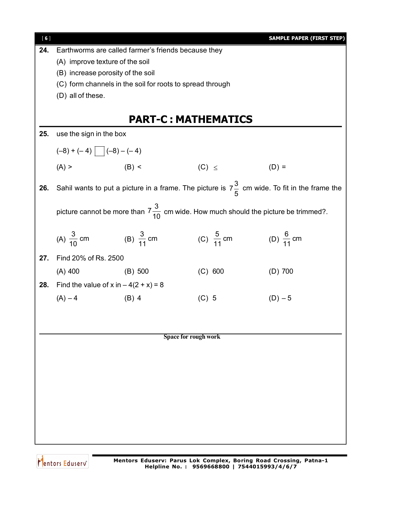| [6] |                                             |                                                                                               |                       | <b>SAMPLE PAPER (FIRST STEP)</b>                                                                        |  |  |  |
|-----|---------------------------------------------|-----------------------------------------------------------------------------------------------|-----------------------|---------------------------------------------------------------------------------------------------------|--|--|--|
| 24. |                                             | Earthworms are called farmer's friends because they                                           |                       |                                                                                                         |  |  |  |
|     | (A) improve texture of the soil             |                                                                                               |                       |                                                                                                         |  |  |  |
|     | (B) increase porosity of the soil           |                                                                                               |                       |                                                                                                         |  |  |  |
|     |                                             | (C) form channels in the soil for roots to spread through                                     |                       |                                                                                                         |  |  |  |
|     | (D) all of these.                           |                                                                                               |                       |                                                                                                         |  |  |  |
|     |                                             |                                                                                               |                       |                                                                                                         |  |  |  |
|     |                                             | <b>PART-C: MATHEMATICS</b>                                                                    |                       |                                                                                                         |  |  |  |
| 25. | use the sign in the box                     |                                                                                               |                       |                                                                                                         |  |  |  |
|     | $(-8) + (-4)$ $  (-8) - (-4)$               |                                                                                               |                       |                                                                                                         |  |  |  |
|     | $(A)$ >                                     | $(B)$ <                                                                                       | $(C) \leq$            | $(D) =$                                                                                                 |  |  |  |
| 26. |                                             |                                                                                               |                       | Sahil wants to put a picture in a frame. The picture is $7\frac{3}{5}$ cm wide. To fit in the frame the |  |  |  |
|     |                                             | picture cannot be more than $7\frac{3}{10}$ cm wide. How much should the picture be trimmed?. |                       |                                                                                                         |  |  |  |
|     | (A) $\frac{3}{10}$ cm (B) $\frac{3}{11}$ cm |                                                                                               | (C) $\frac{5}{11}$ cm | (D) $\frac{6}{11}$ cm                                                                                   |  |  |  |
| 27. | Find 20% of Rs. 2500                        |                                                                                               |                       |                                                                                                         |  |  |  |
|     | $(A)$ 400                                   | (B) 500                                                                                       | (C) 600               | $(D)$ 700                                                                                               |  |  |  |
| 28. | Find the value of x in $-4(2 + x) = 8$      |                                                                                               |                       |                                                                                                         |  |  |  |
|     | $(A) - 4$                                   | $(B)$ 4                                                                                       | $(C)$ 5               | $(D) - 5$                                                                                               |  |  |  |
|     |                                             |                                                                                               |                       |                                                                                                         |  |  |  |
|     |                                             |                                                                                               |                       |                                                                                                         |  |  |  |
|     |                                             |                                                                                               |                       |                                                                                                         |  |  |  |
|     | Space for rough work                        |                                                                                               |                       |                                                                                                         |  |  |  |
|     |                                             |                                                                                               |                       |                                                                                                         |  |  |  |
|     |                                             |                                                                                               |                       |                                                                                                         |  |  |  |
|     |                                             |                                                                                               |                       |                                                                                                         |  |  |  |
|     |                                             |                                                                                               |                       |                                                                                                         |  |  |  |
|     |                                             |                                                                                               |                       |                                                                                                         |  |  |  |
|     |                                             |                                                                                               |                       |                                                                                                         |  |  |  |
|     |                                             |                                                                                               |                       |                                                                                                         |  |  |  |
|     |                                             |                                                                                               |                       |                                                                                                         |  |  |  |

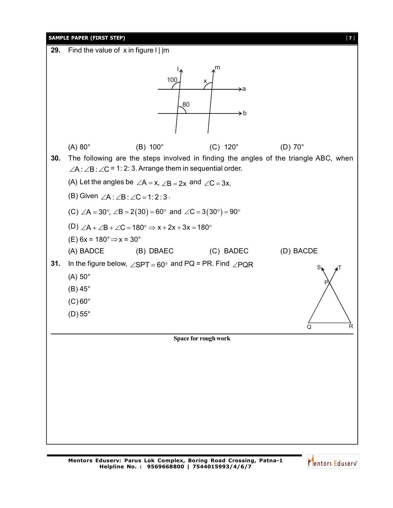

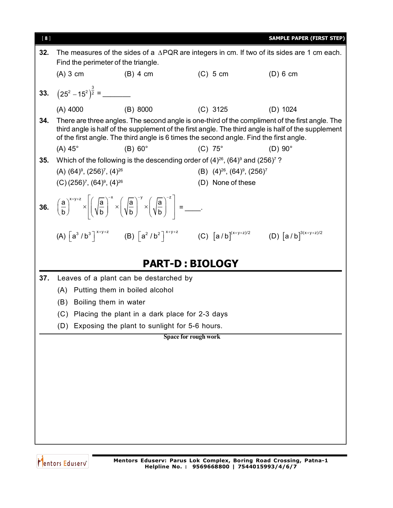

Mentors Eduserv<sup>®</sup>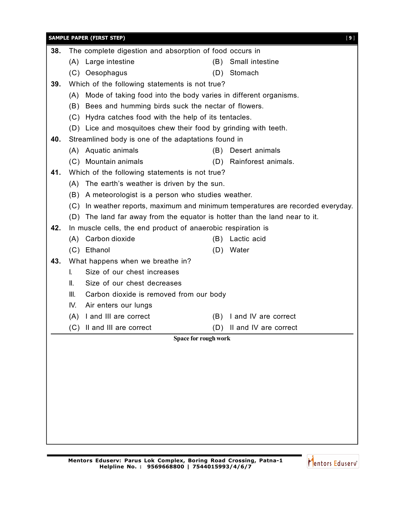|     | <b>SAMPLE PAPER (FIRST STEP)</b><br>[9]                                         |  |  |  |  |  |  |  |
|-----|---------------------------------------------------------------------------------|--|--|--|--|--|--|--|
| 38. | The complete digestion and absorption of food occurs in                         |  |  |  |  |  |  |  |
|     | (B) Small intestine<br>(A) Large intestine                                      |  |  |  |  |  |  |  |
|     | (C) Oesophagus<br>(D) Stomach                                                   |  |  |  |  |  |  |  |
| 39. | Which of the following statements is not true?                                  |  |  |  |  |  |  |  |
|     | Mode of taking food into the body varies in different organisms.<br>(A)         |  |  |  |  |  |  |  |
|     | (B) Bees and humming birds suck the nectar of flowers.                          |  |  |  |  |  |  |  |
|     | (C) Hydra catches food with the help of its tentacles.                          |  |  |  |  |  |  |  |
|     | (D) Lice and mosquitoes chew their food by grinding with teeth.                 |  |  |  |  |  |  |  |
| 40. | Streamlined body is one of the adaptations found in                             |  |  |  |  |  |  |  |
|     | (A) Aquatic animals<br>(B) Desert animals                                       |  |  |  |  |  |  |  |
|     | (C) Mountain animals<br>(D) Rainforest animals.                                 |  |  |  |  |  |  |  |
| 41. | Which of the following statements is not true?                                  |  |  |  |  |  |  |  |
|     | (A) The earth's weather is driven by the sun.                                   |  |  |  |  |  |  |  |
|     | (B) A meteorologist is a person who studies weather.                            |  |  |  |  |  |  |  |
|     | (C) In weather reports, maximum and minimum temperatures are recorded everyday. |  |  |  |  |  |  |  |
|     | (D) The land far away from the equator is hotter than the land near to it.      |  |  |  |  |  |  |  |
| 42. | In muscle cells, the end product of anaerobic respiration is                    |  |  |  |  |  |  |  |
|     | (A) Carbon dioxide<br>(B) Lactic acid                                           |  |  |  |  |  |  |  |
|     | (C) Ethanol<br>(D) Water                                                        |  |  |  |  |  |  |  |
| 43. | What happens when we breathe in?                                                |  |  |  |  |  |  |  |
|     | Size of our chest increases<br>L.                                               |  |  |  |  |  |  |  |
|     | II.<br>Size of our chest decreases                                              |  |  |  |  |  |  |  |
|     | III.<br>Carbon dioxide is removed from our body                                 |  |  |  |  |  |  |  |
|     | IV. Air enters our lungs                                                        |  |  |  |  |  |  |  |
|     | (A) I and III are correct<br>(B) I and IV are correct                           |  |  |  |  |  |  |  |
|     | (C) Il and III are correct<br>(D) II and IV are correct                         |  |  |  |  |  |  |  |
|     | Space for rough work                                                            |  |  |  |  |  |  |  |
|     |                                                                                 |  |  |  |  |  |  |  |
|     |                                                                                 |  |  |  |  |  |  |  |
|     |                                                                                 |  |  |  |  |  |  |  |
|     |                                                                                 |  |  |  |  |  |  |  |
|     |                                                                                 |  |  |  |  |  |  |  |
|     |                                                                                 |  |  |  |  |  |  |  |
|     |                                                                                 |  |  |  |  |  |  |  |
|     |                                                                                 |  |  |  |  |  |  |  |
|     |                                                                                 |  |  |  |  |  |  |  |

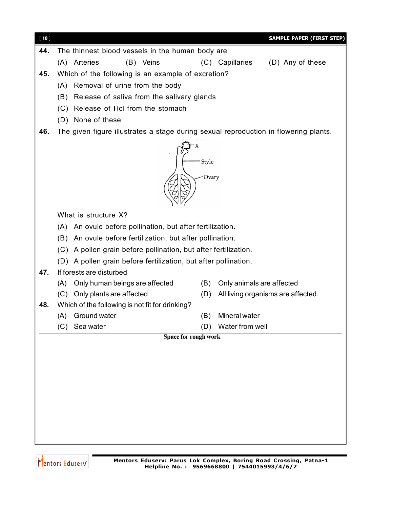| $[10]$ |                                                                                      | <b>SAMPLE PAPER (FIRST STEP)</b>          |  |  |  |  |  |
|--------|--------------------------------------------------------------------------------------|-------------------------------------------|--|--|--|--|--|
| 44.    | The thinnest blood vessels in the human body are                                     |                                           |  |  |  |  |  |
|        | (A) Arteries<br>(B) Veins                                                            | (D) Any of these<br>(C) Capillaries       |  |  |  |  |  |
| 45.    | Which of the following is an example of excretion?                                   |                                           |  |  |  |  |  |
|        | Removal of urine from the body<br>(A)                                                |                                           |  |  |  |  |  |
|        | (B) Release of saliva from the salivary glands                                       |                                           |  |  |  |  |  |
|        | (C) Release of Hcl from the stomach                                                  |                                           |  |  |  |  |  |
|        | (D) None of these                                                                    |                                           |  |  |  |  |  |
| 46.    | The given figure illustrates a stage during sexual reproduction in flowering plants. |                                           |  |  |  |  |  |
|        | Style<br>- Ovary                                                                     |                                           |  |  |  |  |  |
|        | What is structure X?                                                                 |                                           |  |  |  |  |  |
|        | (A) An ovule before pollination, but after fertilization.                            |                                           |  |  |  |  |  |
|        | (B) An ovule before fertilization, but after pollination.                            |                                           |  |  |  |  |  |
|        | (C) A pollen grain before pollination, but after fertilization.                      |                                           |  |  |  |  |  |
|        | (D) A pollen grain before fertilization, but after pollination.                      |                                           |  |  |  |  |  |
| 47.    | If forests are disturbed                                                             |                                           |  |  |  |  |  |
|        | Only human beings are affected<br>(A)                                                | Only animals are affected<br>(B)          |  |  |  |  |  |
|        | (C) Only plants are affected                                                         | (D)<br>All living organisms are affected. |  |  |  |  |  |
| 48.    | Which of the following is not fit for drinking?                                      |                                           |  |  |  |  |  |
|        | (A) Ground water<br>(B)                                                              | Mineral water                             |  |  |  |  |  |
|        | (C) Sea water                                                                        | (D) Water from well                       |  |  |  |  |  |
|        | <b>Space for rough work</b>                                                          |                                           |  |  |  |  |  |
|        |                                                                                      |                                           |  |  |  |  |  |
|        |                                                                                      |                                           |  |  |  |  |  |
|        |                                                                                      |                                           |  |  |  |  |  |
|        |                                                                                      |                                           |  |  |  |  |  |
|        |                                                                                      |                                           |  |  |  |  |  |
|        |                                                                                      |                                           |  |  |  |  |  |
|        |                                                                                      |                                           |  |  |  |  |  |
|        |                                                                                      |                                           |  |  |  |  |  |

Mentors Eduserv<sup>®</sup>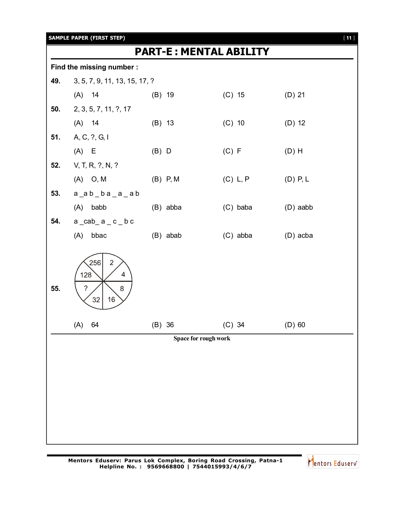|     | <b>SAMPLE PAPER (FIRST STEP)</b>                                      |            |                               |            | $[11]$ |
|-----|-----------------------------------------------------------------------|------------|-------------------------------|------------|--------|
|     |                                                                       |            | <b>PART-E: MENTAL ABILITY</b> |            |        |
|     | Find the missing number :                                             |            |                               |            |        |
| 49. | 3, 5, 7, 9, 11, 13, 15, 17, ?                                         |            |                               |            |        |
|     | $(A)$ 14                                                              | $(B)$ 19   | $(C)$ 15                      | $(D)$ 21   |        |
| 50. | 2, 3, 5, 7, 11, ?, 17                                                 |            |                               |            |        |
|     | $(A)$ 14                                                              | (B) 13     | $(C)$ 10                      | $(D)$ 12   |        |
| 51. | A, C, ?, G, I                                                         |            |                               |            |        |
|     | $(A)$ E                                                               | $(B)$ D    | (C) F                         | $(D)$ H    |        |
| 52. | V, T, R, ?, N, ?                                                      |            |                               |            |        |
|     | $(A)$ O, M                                                            | $(B)$ P, M | (C) L, P                      | $(D)$ P, L |        |
| 53. | $a_$ a_b_b_a_a_a_b                                                    |            |                               |            |        |
|     | $(A)$ babb                                                            | (B) abba   | (C) baba                      | $(D)$ aabb |        |
| 54. | $a$ $ cab$ $a$ $c$ $ b$ $ c$                                          |            |                               |            |        |
|     | bbac<br>(A)                                                           | (B) abab   | (C) abba                      | (D) acba   |        |
| 55. | 256<br>$\overline{2}$<br>128<br>4<br>$\tilde{?}$<br>8<br>$32\,$<br>16 |            |                               |            |        |
|     | 64<br>(A)                                                             | $(B)$ 36   | $(C)$ 34                      | $(D)$ 60   |        |
|     |                                                                       |            | Space for rough work          |            |        |
|     |                                                                       |            |                               |            |        |
|     |                                                                       |            |                               |            |        |
|     |                                                                       |            |                               |            |        |
|     |                                                                       |            |                               |            |        |
|     |                                                                       |            |                               |            |        |
|     |                                                                       |            |                               |            |        |
|     |                                                                       |            |                               |            |        |

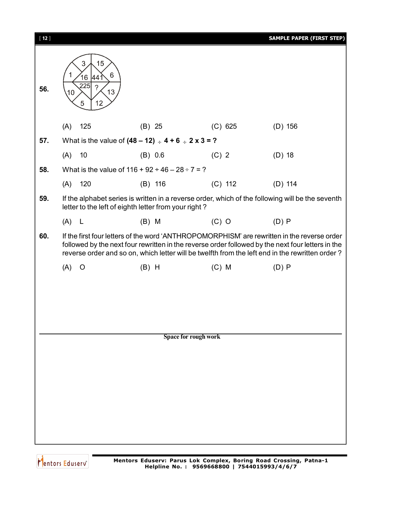| $[12]$ |                                                              |                                                                 |                             | <b>SAMPLE PAPER (FIRST STEP)</b>                                                                                                                                                                                                                                                                    |
|--------|--------------------------------------------------------------|-----------------------------------------------------------------|-----------------------------|-----------------------------------------------------------------------------------------------------------------------------------------------------------------------------------------------------------------------------------------------------------------------------------------------------|
| 56.    | 15<br>3<br>6<br>16<br>441<br>225<br>?<br>10<br>13<br>12<br>5 |                                                                 |                             |                                                                                                                                                                                                                                                                                                     |
|        | 125<br>(A)                                                   | $(B)$ 25                                                        | (C) 625                     | $(D)$ 156                                                                                                                                                                                                                                                                                           |
| 57.    |                                                              | What is the value of $(48 - 12) \div 4 + 6 \div 2 \times 3 = ?$ |                             |                                                                                                                                                                                                                                                                                                     |
|        | 10<br>(A)                                                    | (B) 0.6                                                         | $(C)$ 2                     | $(D)$ 18                                                                                                                                                                                                                                                                                            |
| 58.    |                                                              | What is the value of $116 + 92 \div 46 - 28 \div 7 = ?$         |                             |                                                                                                                                                                                                                                                                                                     |
|        | 120<br>(A)                                                   | $(B)$ 116                                                       | $(C)$ 112                   | $(D)$ 114                                                                                                                                                                                                                                                                                           |
| 59.    |                                                              | letter to the left of eighth letter from your right?            |                             | If the alphabet series is written in a reverse order, which of the following will be the seventh                                                                                                                                                                                                    |
|        | $(A)$ L                                                      | $(B)$ M                                                         | $(C)$ O                     | (D) P                                                                                                                                                                                                                                                                                               |
| 60.    |                                                              |                                                                 |                             | If the first four letters of the word 'ANTHROPOMORPHISM' are rewritten in the reverse order<br>followed by the next four rewritten in the reverse order followed by the next four letters in the<br>reverse order and so on, which letter will be twelfth from the left end in the rewritten order? |
|        | (A)<br>$\circ$                                               | $(B)$ H                                                         | $(C)$ M                     | (D) P                                                                                                                                                                                                                                                                                               |
|        |                                                              |                                                                 |                             |                                                                                                                                                                                                                                                                                                     |
|        |                                                              |                                                                 |                             |                                                                                                                                                                                                                                                                                                     |
|        |                                                              |                                                                 |                             |                                                                                                                                                                                                                                                                                                     |
|        |                                                              |                                                                 |                             |                                                                                                                                                                                                                                                                                                     |
|        |                                                              |                                                                 | <b>Space for rough work</b> |                                                                                                                                                                                                                                                                                                     |
|        |                                                              |                                                                 |                             |                                                                                                                                                                                                                                                                                                     |
|        |                                                              |                                                                 |                             |                                                                                                                                                                                                                                                                                                     |
|        |                                                              |                                                                 |                             |                                                                                                                                                                                                                                                                                                     |
|        |                                                              |                                                                 |                             |                                                                                                                                                                                                                                                                                                     |
|        |                                                              |                                                                 |                             |                                                                                                                                                                                                                                                                                                     |
|        |                                                              |                                                                 |                             |                                                                                                                                                                                                                                                                                                     |
|        |                                                              |                                                                 |                             |                                                                                                                                                                                                                                                                                                     |